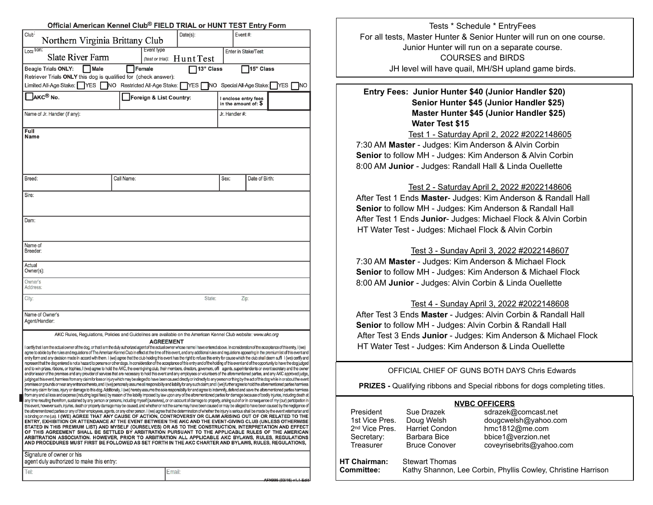| Official American Kennel Club® FIELD TRIAL or HUNT TEST Entry Form                                                                                                                                                                                                                                                                                                                                                                                                                                                                                                                                                                                                                                                                                                                                                                                                                                                                                                                                                                                                                                                                                                                                                                                                                                                                                                                                                                                                                                                                                                                                                                                                                                                                                                                                                                                                                                                                                                                                                                                                                                                                                                                                                                                                                                                                                                                                                                                                                                                                                                                                                                                                                                                                                                                                                                                                                                                                                                                                                                                                                                                                                                                                                                                                                                                                                                                                                                                                      |                         |                            |        |                                               |                |  |
|-------------------------------------------------------------------------------------------------------------------------------------------------------------------------------------------------------------------------------------------------------------------------------------------------------------------------------------------------------------------------------------------------------------------------------------------------------------------------------------------------------------------------------------------------------------------------------------------------------------------------------------------------------------------------------------------------------------------------------------------------------------------------------------------------------------------------------------------------------------------------------------------------------------------------------------------------------------------------------------------------------------------------------------------------------------------------------------------------------------------------------------------------------------------------------------------------------------------------------------------------------------------------------------------------------------------------------------------------------------------------------------------------------------------------------------------------------------------------------------------------------------------------------------------------------------------------------------------------------------------------------------------------------------------------------------------------------------------------------------------------------------------------------------------------------------------------------------------------------------------------------------------------------------------------------------------------------------------------------------------------------------------------------------------------------------------------------------------------------------------------------------------------------------------------------------------------------------------------------------------------------------------------------------------------------------------------------------------------------------------------------------------------------------------------------------------------------------------------------------------------------------------------------------------------------------------------------------------------------------------------------------------------------------------------------------------------------------------------------------------------------------------------------------------------------------------------------------------------------------------------------------------------------------------------------------------------------------------------------------------------------------------------------------------------------------------------------------------------------------------------------------------------------------------------------------------------------------------------------------------------------------------------------------------------------------------------------------------------------------------------------------------------------------------------------------------------------------------------|-------------------------|----------------------------|--------|-----------------------------------------------|----------------|--|
| Club<br>Date(s):<br>Event#:<br>Northern Virginia Brittany Club                                                                                                                                                                                                                                                                                                                                                                                                                                                                                                                                                                                                                                                                                                                                                                                                                                                                                                                                                                                                                                                                                                                                                                                                                                                                                                                                                                                                                                                                                                                                                                                                                                                                                                                                                                                                                                                                                                                                                                                                                                                                                                                                                                                                                                                                                                                                                                                                                                                                                                                                                                                                                                                                                                                                                                                                                                                                                                                                                                                                                                                                                                                                                                                                                                                                                                                                                                                                          |                         |                            |        |                                               |                |  |
| Loca <sup>tion:</sup><br><b>Slate River Farm</b>                                                                                                                                                                                                                                                                                                                                                                                                                                                                                                                                                                                                                                                                                                                                                                                                                                                                                                                                                                                                                                                                                                                                                                                                                                                                                                                                                                                                                                                                                                                                                                                                                                                                                                                                                                                                                                                                                                                                                                                                                                                                                                                                                                                                                                                                                                                                                                                                                                                                                                                                                                                                                                                                                                                                                                                                                                                                                                                                                                                                                                                                                                                                                                                                                                                                                                                                                                                                                        | Event type              | (test or trial): Hunt Test |        | Enter in Stake/Test:                          |                |  |
| Beagle Trials ONLY:<br><b>Male</b>                                                                                                                                                                                                                                                                                                                                                                                                                                                                                                                                                                                                                                                                                                                                                                                                                                                                                                                                                                                                                                                                                                                                                                                                                                                                                                                                                                                                                                                                                                                                                                                                                                                                                                                                                                                                                                                                                                                                                                                                                                                                                                                                                                                                                                                                                                                                                                                                                                                                                                                                                                                                                                                                                                                                                                                                                                                                                                                                                                                                                                                                                                                                                                                                                                                                                                                                                                                                                                      | Female                  | 13" Class<br>15" Class     |        |                                               |                |  |
| Retriever Trials ONLY this dog is qualified for (check answer):<br>Limited All-Age Stake: TYES<br>NO Restricted All-Age Stake:<br><b>TYES</b><br>NO Special All-Age Stake:<br>YES<br>NO                                                                                                                                                                                                                                                                                                                                                                                                                                                                                                                                                                                                                                                                                                                                                                                                                                                                                                                                                                                                                                                                                                                                                                                                                                                                                                                                                                                                                                                                                                                                                                                                                                                                                                                                                                                                                                                                                                                                                                                                                                                                                                                                                                                                                                                                                                                                                                                                                                                                                                                                                                                                                                                                                                                                                                                                                                                                                                                                                                                                                                                                                                                                                                                                                                                                                 |                         |                            |        |                                               |                |  |
| AKC® No.                                                                                                                                                                                                                                                                                                                                                                                                                                                                                                                                                                                                                                                                                                                                                                                                                                                                                                                                                                                                                                                                                                                                                                                                                                                                                                                                                                                                                                                                                                                                                                                                                                                                                                                                                                                                                                                                                                                                                                                                                                                                                                                                                                                                                                                                                                                                                                                                                                                                                                                                                                                                                                                                                                                                                                                                                                                                                                                                                                                                                                                                                                                                                                                                                                                                                                                                                                                                                                                                | Foreign & List Country: |                            |        | I enclose entry fees<br>in the amount of: $$$ |                |  |
| Name of Jr. Handler (if any):                                                                                                                                                                                                                                                                                                                                                                                                                                                                                                                                                                                                                                                                                                                                                                                                                                                                                                                                                                                                                                                                                                                                                                                                                                                                                                                                                                                                                                                                                                                                                                                                                                                                                                                                                                                                                                                                                                                                                                                                                                                                                                                                                                                                                                                                                                                                                                                                                                                                                                                                                                                                                                                                                                                                                                                                                                                                                                                                                                                                                                                                                                                                                                                                                                                                                                                                                                                                                                           |                         |                            |        | Jr. Handler #:                                |                |  |
| Full<br>Name                                                                                                                                                                                                                                                                                                                                                                                                                                                                                                                                                                                                                                                                                                                                                                                                                                                                                                                                                                                                                                                                                                                                                                                                                                                                                                                                                                                                                                                                                                                                                                                                                                                                                                                                                                                                                                                                                                                                                                                                                                                                                                                                                                                                                                                                                                                                                                                                                                                                                                                                                                                                                                                                                                                                                                                                                                                                                                                                                                                                                                                                                                                                                                                                                                                                                                                                                                                                                                                            |                         |                            |        |                                               |                |  |
|                                                                                                                                                                                                                                                                                                                                                                                                                                                                                                                                                                                                                                                                                                                                                                                                                                                                                                                                                                                                                                                                                                                                                                                                                                                                                                                                                                                                                                                                                                                                                                                                                                                                                                                                                                                                                                                                                                                                                                                                                                                                                                                                                                                                                                                                                                                                                                                                                                                                                                                                                                                                                                                                                                                                                                                                                                                                                                                                                                                                                                                                                                                                                                                                                                                                                                                                                                                                                                                                         |                         |                            |        |                                               |                |  |
| Breed:                                                                                                                                                                                                                                                                                                                                                                                                                                                                                                                                                                                                                                                                                                                                                                                                                                                                                                                                                                                                                                                                                                                                                                                                                                                                                                                                                                                                                                                                                                                                                                                                                                                                                                                                                                                                                                                                                                                                                                                                                                                                                                                                                                                                                                                                                                                                                                                                                                                                                                                                                                                                                                                                                                                                                                                                                                                                                                                                                                                                                                                                                                                                                                                                                                                                                                                                                                                                                                                                  | Call Name:              |                            |        | Sex:                                          | Date of Birth: |  |
| Sire:                                                                                                                                                                                                                                                                                                                                                                                                                                                                                                                                                                                                                                                                                                                                                                                                                                                                                                                                                                                                                                                                                                                                                                                                                                                                                                                                                                                                                                                                                                                                                                                                                                                                                                                                                                                                                                                                                                                                                                                                                                                                                                                                                                                                                                                                                                                                                                                                                                                                                                                                                                                                                                                                                                                                                                                                                                                                                                                                                                                                                                                                                                                                                                                                                                                                                                                                                                                                                                                                   |                         |                            |        |                                               |                |  |
| Dam:                                                                                                                                                                                                                                                                                                                                                                                                                                                                                                                                                                                                                                                                                                                                                                                                                                                                                                                                                                                                                                                                                                                                                                                                                                                                                                                                                                                                                                                                                                                                                                                                                                                                                                                                                                                                                                                                                                                                                                                                                                                                                                                                                                                                                                                                                                                                                                                                                                                                                                                                                                                                                                                                                                                                                                                                                                                                                                                                                                                                                                                                                                                                                                                                                                                                                                                                                                                                                                                                    |                         |                            |        |                                               |                |  |
| Name of<br>Breeder:<br>Actual<br>Owner(s):                                                                                                                                                                                                                                                                                                                                                                                                                                                                                                                                                                                                                                                                                                                                                                                                                                                                                                                                                                                                                                                                                                                                                                                                                                                                                                                                                                                                                                                                                                                                                                                                                                                                                                                                                                                                                                                                                                                                                                                                                                                                                                                                                                                                                                                                                                                                                                                                                                                                                                                                                                                                                                                                                                                                                                                                                                                                                                                                                                                                                                                                                                                                                                                                                                                                                                                                                                                                                              |                         |                            |        |                                               |                |  |
| Owner's<br>Address:                                                                                                                                                                                                                                                                                                                                                                                                                                                                                                                                                                                                                                                                                                                                                                                                                                                                                                                                                                                                                                                                                                                                                                                                                                                                                                                                                                                                                                                                                                                                                                                                                                                                                                                                                                                                                                                                                                                                                                                                                                                                                                                                                                                                                                                                                                                                                                                                                                                                                                                                                                                                                                                                                                                                                                                                                                                                                                                                                                                                                                                                                                                                                                                                                                                                                                                                                                                                                                                     |                         |                            |        |                                               |                |  |
| City:                                                                                                                                                                                                                                                                                                                                                                                                                                                                                                                                                                                                                                                                                                                                                                                                                                                                                                                                                                                                                                                                                                                                                                                                                                                                                                                                                                                                                                                                                                                                                                                                                                                                                                                                                                                                                                                                                                                                                                                                                                                                                                                                                                                                                                                                                                                                                                                                                                                                                                                                                                                                                                                                                                                                                                                                                                                                                                                                                                                                                                                                                                                                                                                                                                                                                                                                                                                                                                                                   |                         |                            | State: | Zip:                                          |                |  |
| Name of Owner's<br>Agent/Handler:                                                                                                                                                                                                                                                                                                                                                                                                                                                                                                                                                                                                                                                                                                                                                                                                                                                                                                                                                                                                                                                                                                                                                                                                                                                                                                                                                                                                                                                                                                                                                                                                                                                                                                                                                                                                                                                                                                                                                                                                                                                                                                                                                                                                                                                                                                                                                                                                                                                                                                                                                                                                                                                                                                                                                                                                                                                                                                                                                                                                                                                                                                                                                                                                                                                                                                                                                                                                                                       |                         |                            |        |                                               |                |  |
| AKC Rules, Regulations, Policies and Guidelines are available on the American Kennel Club website: www.akc.org<br>I certify that I am the actual owner of the dog, or that I am the duly authorized agent of the actual owner whose name I have entered above. In consideration of the acceptance of this entry, I (we)<br>agree to abide by the rules and regulations of The American Kennel Club in effect at the time of this event, and any additional rules and regulations appearing in the premium list of this event and<br>entry form and any decision made in accord with them. I (we) agree that the club holding this event has the right to refuse this entry for cause which the club shall deem suffil (we) certify and<br>representthat the dog entered is not a hazard to persons or other dogs. In consideration of the acceptance of this entry and of the holding of this event and of the opportunity to have the dog judged<br>and to win prizes, ribbons, or trophies, I (we) agree to hold the AKC, the event-giving club, their members, directors, governors, offi agents, superintendents or event secretary and the owner<br>and/or lessor of the premises and any provider of services that are necessary to hold this event and any employees or volunteers of the aforementioned parties, and any AKC approved judge,<br>judging at this event, harmless from any claim for loss or injury which may be alleged to have been caused directly or indirectly to any person or thing by the act of this dog while in or about the event<br>premises or grounds or near any entrance thereto, and I (we) personally assume all responsibility and liability for any such claim; and I (we) further agree to hold the aforementioned parties harmless<br>from any claim for loss, injury or damage to this dog. Additionaly, I (we) hereby assume the sole responsibility for and agree to indemnify, defend and save the aforementioned parties harmless<br>from any and all loss and expense (including legal fees) by reason of the liability imposed by law upon any of the aforementioned parties for damage because of bodily injuries, including death at<br>any time resulting therefrom, sustained by any person or persons, including myself (ourselves), or on account of damage to property, arising out of or in consequence of my (our) participation in<br>this event, however such, injuries, death or property damage may be caused, and whether or not the same may have been caused or may be alleged to have been caused by the negligence of<br>the aforementioned parties or any of their employees, agents, or any other person. I (we) agree that the determination of whether the injury is serious shall be made by the event veterinarian and<br>isbinding on me (us). I (WE) AGREE THAT ANY CAUSE OF ACTION, CONTROVERSY OR CLAIM ARISING OUT OF OR RELATED TO THE<br>ENTRY, EXHIBITION OR ATTENDANCE AT THE EVENT BETWEEN THE AKC AND THE EVENT-GIVING CLUB (UNLESS OTHERWISE<br>STATED IN THIS PREMIUM LIST) AND MYSELF (OURSELVES) OR AS TO THE CONSTRUCTION, INTERPRETATION AND EFFECT<br>OF THIS AGREEMENT SHALL BE SETTLED BY ARBITRATION PURSUANT TO THE APPLICABLE RULES OF THE AMERICAN<br>ARBITRATION ASSOCIATION. HOWEVER, PRIOR TO ARBITRATION ALL APPLICABLE AKC BYLAWS, RULES, REGULATIONS<br>AND PROCEDURES MUST FIRST BE FOLLOWED AS SET FORTH IN THE AKC CHARTER AND BYLAWS, RULES, REGULATIONS, |                         | <b>AGREEMENT</b>           |        |                                               |                |  |
| Signature of owner or his<br>agent duly authorized to make this entry:                                                                                                                                                                                                                                                                                                                                                                                                                                                                                                                                                                                                                                                                                                                                                                                                                                                                                                                                                                                                                                                                                                                                                                                                                                                                                                                                                                                                                                                                                                                                                                                                                                                                                                                                                                                                                                                                                                                                                                                                                                                                                                                                                                                                                                                                                                                                                                                                                                                                                                                                                                                                                                                                                                                                                                                                                                                                                                                                                                                                                                                                                                                                                                                                                                                                                                                                                                                                  |                         |                            |        |                                               |                |  |
| Tel:                                                                                                                                                                                                                                                                                                                                                                                                                                                                                                                                                                                                                                                                                                                                                                                                                                                                                                                                                                                                                                                                                                                                                                                                                                                                                                                                                                                                                                                                                                                                                                                                                                                                                                                                                                                                                                                                                                                                                                                                                                                                                                                                                                                                                                                                                                                                                                                                                                                                                                                                                                                                                                                                                                                                                                                                                                                                                                                                                                                                                                                                                                                                                                                                                                                                                                                                                                                                                                                                    |                         | Email:                     |        |                                               |                |  |

Tests \* Schedule \* EntryFees For all tests, Master Hunter & Senior Hunter will run on one course. Junior Hunter will run on a separate course. COURSES and BIRDS JH level will have quail, MH/SH upland game birds.

## **Entry Fees: Junior Hunter \$40 (Junior Handler \$20) Senior Hunter \$45 (Junior Handler \$25) Master Hunter \$45 (Junior Handler \$25) Water Test \$15**

Test 1 - Saturday April 2, 2022 #2022148605 7:30 AM **Master** - Judges: Kim Anderson & Alvin Corbin **Senior** to follow MH - Judges: Kim Anderson & Alvin Corbin 8:00 AM **Junior** - Judges: Randall Hall & Linda Ouellette

### Test 2 - Saturday April 2, 2022 #2022148606

After Test 1 Ends **Master**- Judges: Kim Anderson & Randall Hall **Senior** to follow MH - Judges: Kim Anderson & Randall Hall After Test 1 Ends **Junior**- Judges: Michael Flock & Alvin Corbin HT Water Test - Judges: Michael Flock & Alvin Corbin

#### Test 3 - Sunday April 3, 2022 #2022148607

7:30 AM **Master** - Judges: Kim Anderson & Michael Flock **Senior** to follow MH - Judges: Kim Anderson & Michael Flock 8:00 AM **Junior** - Judges: Alvin Corbin & Linda Ouellette

#### Test 4 - Sunday April 3, 2022 #2022148608

After Test 3 Ends **Master** - Judges: Alvin Corbin & Randall Hall **Senior** to follow MH - Judges: Alvin Corbin & Randall Hall After Test 3 Ends **Junior** - Judges: Kim Anderson & Michael Flock HT Water Test - Judges: Kim Anderson & Linda Ouellette

OFFICIAL CHIEF OF GUNS BOTH DAYS Chris Edwards

**PRIZES -** Qualifying ribbons and Special ribbons for dogs completing titles.

|                       | <b>NVBC OFFICERS</b>                                          |
|-----------------------|---------------------------------------------------------------|
| Sue Drazek            | sdrazek@comcast.net                                           |
| Doug Welsh            | dougcwelsh@yahoo.com                                          |
| Harriet Condon        | hmc1812@me.com                                                |
| Barbara Bice          | bbice1@verzion.net                                            |
| <b>Bruce Conover</b>  | coveyrisebrits@yahoo.com                                      |
| <b>Stewart Thomas</b> | Kathy Shannon, Lee Corbin, Phyllis Cowley, Christine Harrison |
|                       |                                                               |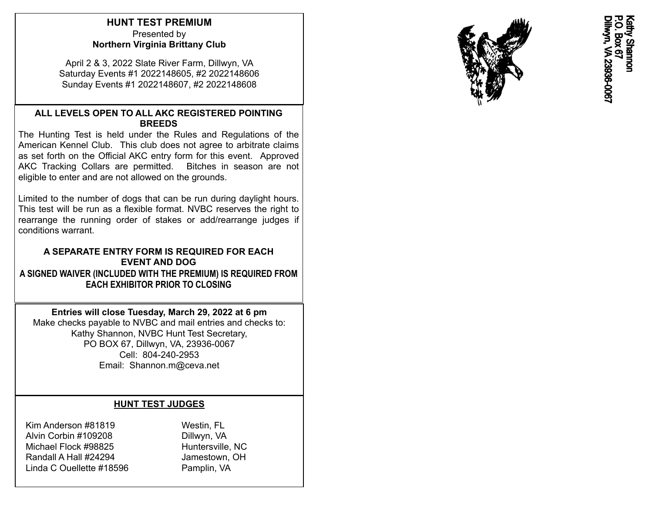## **HUNT TEST PREMIUM** Presented by **Northern Virginia Brittany Club**

April 2 & 3, 2022 Slate River Farm, Dillwyn, VA Saturday Events #1 2022148605, #2 2022148606 Sunday Events #1 2022148607, #2 2022148608

### **ALL LEVELS OPEN TO ALL AKC REGISTERED POINTING BREEDS**

The Hunting Test is held under the Rules and Regulations of the American Kennel Club. This club does not agree to arbitrate claims as set forth on the Official AKC entry form for this event. Approved AKC Tracking Collars are permitted. Bitches in season are not eligible to enter and are not allowed on the grounds.

Limited to the number of dogs that can be run during daylight hours. This test will be run as a flexible format. NVBC reserves the right to rearrange the running order of stakes or add/rearrange judges if conditions warrant.

#### **A SEPARATE ENTRY FORM IS REQUIRED FOR EACH EVENT AND DOG A SIGNED WAIVER (INCLUDED WITH THE PREMIUM) IS REQUIRED FROM EACH EXHIBITOR PRIOR TO CLOSING**

**Entries will close Tuesday, March 29, 2022 at 6 pm**

Make checks payable to NVBC and mail entries and checks to: Kathy Shannon, NVBC Hunt Test Secretary, PO BOX 67, Dillwyn, VA, 23936-0067 Cell: 804-240-2953 Email: Shannon.m@ceva.net

# **HUNT TEST JUDGES**

Kim Anderson #81819 Westin, FL Alvin Corbin #109208 Dillwyn, VA Michael Flock #98825 Huntersville, NC Randall A Hall #24294 Jamestown, OH Linda C Ouellette #18596 Pamplin, VA